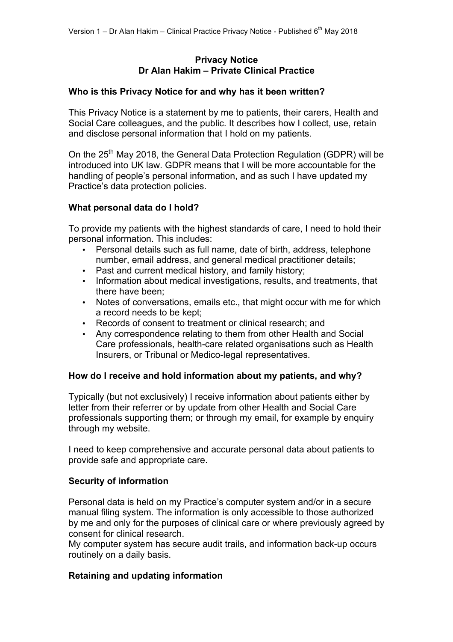## **Privacy Notice Dr Alan Hakim – Private Clinical Practice**

## **Who is this Privacy Notice for and why has it been written?**

This Privacy Notice is a statement by me to patients, their carers, Health and Social Care colleagues, and the public. It describes how I collect, use, retain and disclose personal information that I hold on my patients.

On the 25<sup>th</sup> May 2018, the General Data Protection Regulation (GDPR) will be introduced into UK law. GDPR means that I will be more accountable for the handling of people's personal information, and as such I have updated my Practice's data protection policies.

## **What personal data do I hold?**

To provide my patients with the highest standards of care, I need to hold their personal information. This includes:

- Personal details such as full name, date of birth, address, telephone number, email address, and general medical practitioner details;
- Past and current medical history, and family history;
- Information about medical investigations, results, and treatments, that there have been;
- Notes of conversations, emails etc., that might occur with me for which a record needs to be kept;
- Records of consent to treatment or clinical research; and
- Any correspondence relating to them from other Health and Social Care professionals, health-care related organisations such as Health Insurers, or Tribunal or Medico-legal representatives.

# **How do I receive and hold information about my patients, and why?**

Typically (but not exclusively) I receive information about patients either by letter from their referrer or by update from other Health and Social Care professionals supporting them; or through my email, for example by enquiry through my website.

I need to keep comprehensive and accurate personal data about patients to provide safe and appropriate care.

## **Security of information**

Personal data is held on my Practice's computer system and/or in a secure manual filing system. The information is only accessible to those authorized by me and only for the purposes of clinical care or where previously agreed by consent for clinical research.

My computer system has secure audit trails, and information back-up occurs routinely on a daily basis.

## **Retaining and updating information**